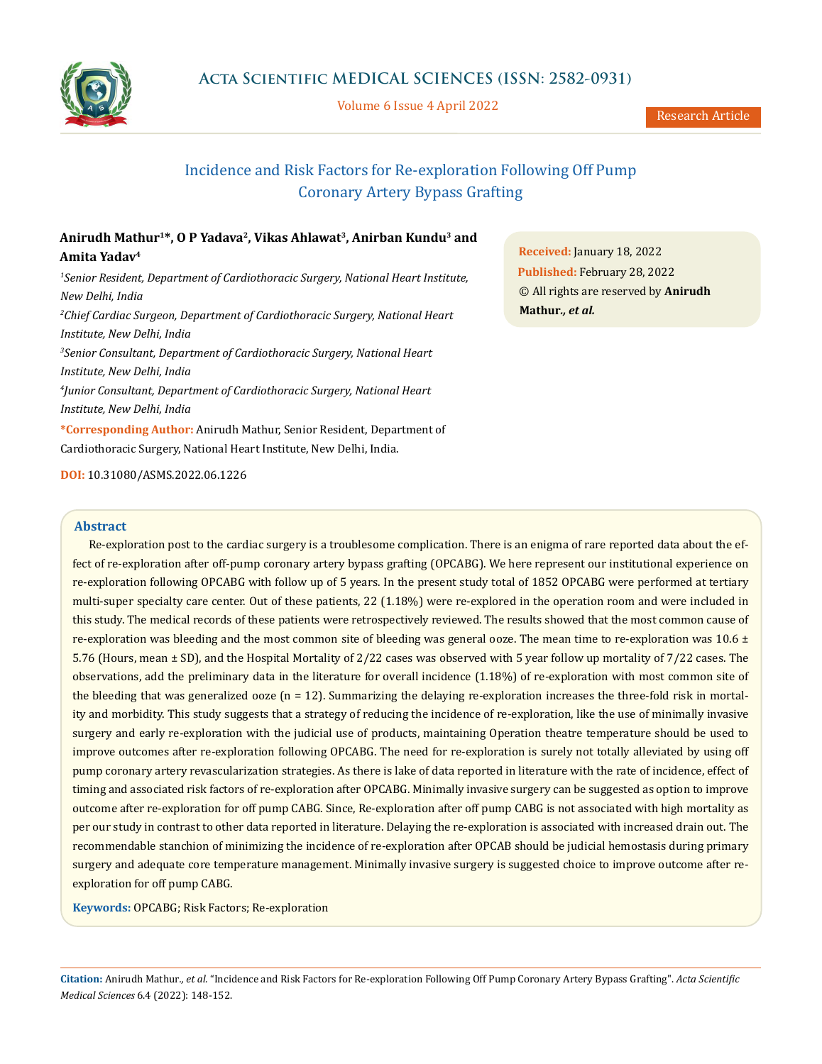

Volume 6 Issue 4 April 2022

# Incidence and Risk Factors for Re-exploration Following Off Pump Coronary Artery Bypass Grafting

# **Anirudh Mathur1\*, O P Yadava2, Vikas Ahlawat3, Anirban Kundu3 and Amita Yadav4**

<sup>1</sup> Senior Resident, Department of Cardiothoracic Surgery, National Heart Institute, *New Delhi, India 2 Chief Cardiac Surgeon, Department of Cardiothoracic Surgery, National Heart Institute, New Delhi, India 3 Senior Consultant, Department of Cardiothoracic Surgery, National Heart Institute, New Delhi, India 4 Junior Consultant, Department of Cardiothoracic Surgery, National Heart Institute, New Delhi, India*

**\*Corresponding Author:** Anirudh Mathur, Senior Resident, Department of Cardiothoracic Surgery, National Heart Institute, New Delhi, India.

**Received:** January 18, 2022 **Published:** February 28, 2022 © All rights are reserved by **Anirudh Mathur***., et al.*

**DOI:** [10.31080/ASMS.2022.06.1226](http:// actascientific.com/ASMS/pdf/ASMS-06-1226.pdf)

# **Abstract**

Re-exploration post to the cardiac surgery is a troublesome complication. There is an enigma of rare reported data about the effect of re-exploration after off-pump coronary artery bypass grafting (OPCABG). We here represent our institutional experience on re-exploration following OPCABG with follow up of 5 years. In the present study total of 1852 OPCABG were performed at tertiary multi-super specialty care center. Out of these patients, 22 (1.18%) were re-explored in the operation room and were included in this study. The medical records of these patients were retrospectively reviewed. The results showed that the most common cause of re-exploration was bleeding and the most common site of bleeding was general ooze. The mean time to re-exploration was  $10.6 \pm$ 5.76 (Hours, mean ± SD), and the Hospital Mortality of 2/22 cases was observed with 5 year follow up mortality of 7/22 cases. The observations, add the preliminary data in the literature for overall incidence (1.18%) of re-exploration with most common site of the bleeding that was generalized ooze  $(n = 12)$ . Summarizing the delaying re-exploration increases the three-fold risk in mortality and morbidity. This study suggests that a strategy of reducing the incidence of re-exploration, like the use of minimally invasive surgery and early re-exploration with the judicial use of products, maintaining Operation theatre temperature should be used to improve outcomes after re-exploration following OPCABG. The need for re-exploration is surely not totally alleviated by using off pump coronary artery revascularization strategies. As there is lake of data reported in literature with the rate of incidence, effect of timing and associated risk factors of re-exploration after OPCABG. Minimally invasive surgery can be suggested as option to improve outcome after re-exploration for off pump CABG. Since, Re-exploration after off pump CABG is not associated with high mortality as per our study in contrast to other data reported in literature. Delaying the re-exploration is associated with increased drain out. The recommendable stanchion of minimizing the incidence of re-exploration after OPCAB should be judicial hemostasis during primary surgery and adequate core temperature management. Minimally invasive surgery is suggested choice to improve outcome after reexploration for off pump CABG.

**Keywords:** OPCABG; Risk Factors; Re-exploration

**Citation:** Anirudh Mathur*., et al.* "Incidence and Risk Factors for Re-exploration Following Off Pump Coronary Artery Bypass Grafting". *Acta Scientific Medical Sciences* 6.4 (2022): 148-152.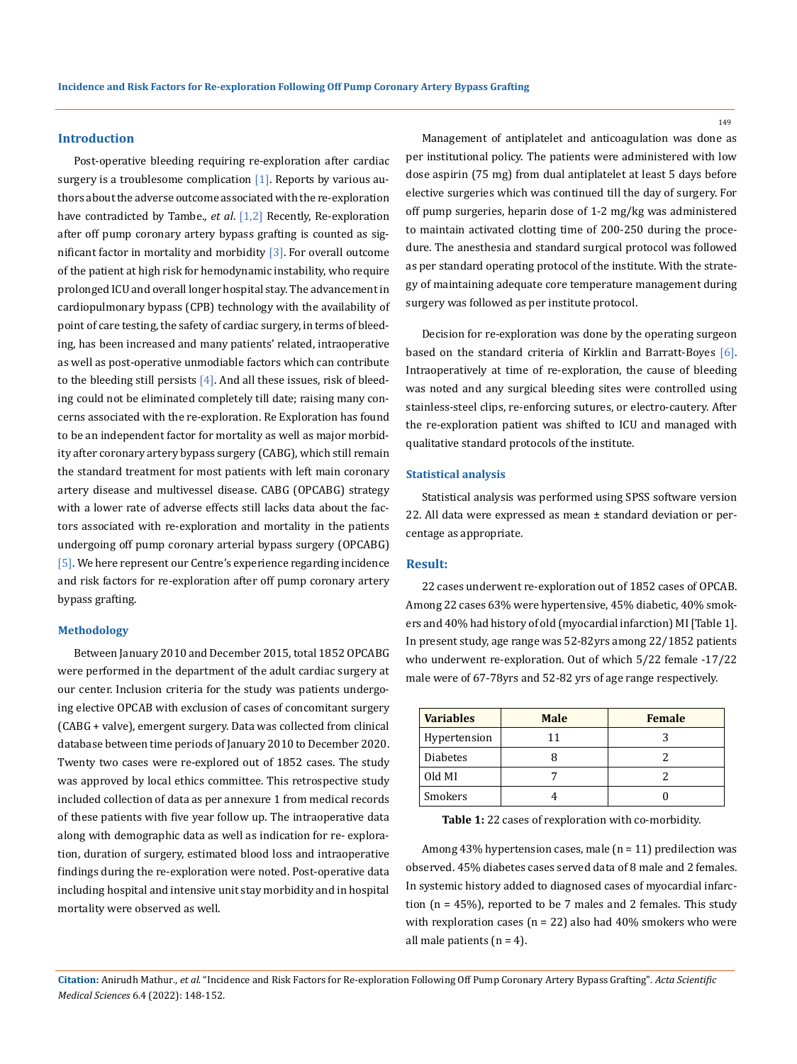#### **Introduction**

Post-operative bleeding requiring re-exploration after cardiac surgery is a troublesome complication  $[1]$ . Reports by various authors about the adverse outcome associated with the re-exploration have contradicted by Tambe., *et al*. [1,2] Recently, Re-exploration after off pump coronary artery bypass grafting is counted as significant factor in mortality and morbidity [3]. For overall outcome of the patient at high risk for hemodynamic instability, who require prolonged ICU and overall longer hospital stay. The advancement in cardiopulmonary bypass (CPB) technology with the availability of point of care testing, the safety of cardiac surgery, in terms of bleeding, has been increased and many patients' related, intraoperative as well as post-operative unmodiable factors which can contribute to the bleeding still persists [4]. And all these issues, risk of bleeding could not be eliminated completely till date; raising many concerns associated with the re-exploration. Re Exploration has found to be an independent factor for mortality as well as major morbidity after coronary artery bypass surgery (CABG), which still remain the standard treatment for most patients with left main coronary artery disease and multivessel disease. CABG (OPCABG) strategy with a lower rate of adverse effects still lacks data about the factors associated with re-exploration and mortality in the patients undergoing off pump coronary arterial bypass surgery (OPCABG) [5]. We here represent our Centre's experience regarding incidence and risk factors for re-exploration after off pump coronary artery bypass grafting.

#### **Methodology**

Between January 2010 and December 2015, total 1852 OPCABG were performed in the department of the adult cardiac surgery at our center. Inclusion criteria for the study was patients undergoing elective OPCAB with exclusion of cases of concomitant surgery (CABG + valve), emergent surgery. Data was collected from clinical database between time periods of January 2010 to December 2020. Twenty two cases were re-explored out of 1852 cases. The study was approved by local ethics committee. This retrospective study included collection of data as per annexure 1 from medical records of these patients with five year follow up. The intraoperative data along with demographic data as well as indication for re- exploration, duration of surgery, estimated blood loss and intraoperative findings during the re-exploration were noted. Post-operative data including hospital and intensive unit stay morbidity and in hospital mortality were observed as well.

Management of antiplatelet and anticoagulation was done as per institutional policy. The patients were administered with low dose aspirin (75 mg) from dual antiplatelet at least 5 days before elective surgeries which was continued till the day of surgery. For off pump surgeries, heparin dose of 1-2 mg/kg was administered to maintain activated clotting time of 200-250 during the procedure. The anesthesia and standard surgical protocol was followed as per standard operating protocol of the institute. With the strategy of maintaining adequate core temperature management during surgery was followed as per institute protocol.

Decision for re-exploration was done by the operating surgeon based on the standard criteria of Kirklin and Barratt-Boyes [6]. Intraoperatively at time of re-exploration, the cause of bleeding was noted and any surgical bleeding sites were controlled using stainless-steel clips, re-enforcing sutures, or electro-cautery. After the re-exploration patient was shifted to ICU and managed with qualitative standard protocols of the institute.

#### **Statistical analysis**

Statistical analysis was performed using SPSS software version 22. All data were expressed as mean ± standard deviation or percentage as appropriate.

#### **Result:**

22 cases underwent re-exploration out of 1852 cases of OPCAB. Among 22 cases 63% were hypertensive, 45% diabetic, 40% smokers and 40% had history of old (myocardial infarction) MI [Table 1]. In present study, age range was 52-82yrs among 22/1852 patients who underwent re-exploration. Out of which 5/22 female -17/22 male were of 67-78yrs and 52-82 yrs of age range respectively.

| <b>Variables</b> | <b>Male</b> | <b>Female</b> |
|------------------|-------------|---------------|
| Hypertension     | 11          |               |
| <b>Diabetes</b>  |             |               |
| Old MI           |             |               |
| Smokers          |             |               |

**Table 1:** 22 cases of rexploration with co-morbidity.

Among 43% hypertension cases, male (n = 11) predilection was observed. 45% diabetes cases served data of 8 male and 2 females. In systemic history added to diagnosed cases of myocardial infarction (n = 45%), reported to be 7 males and 2 females. This study with rexploration cases ( $n = 22$ ) also had 40% smokers who were all male patients  $(n = 4)$ .

**Citation:** Anirudh Mathur*., et al.* "Incidence and Risk Factors for Re-exploration Following Off Pump Coronary Artery Bypass Grafting". *Acta Scientific Medical Sciences* 6.4 (2022): 148-152.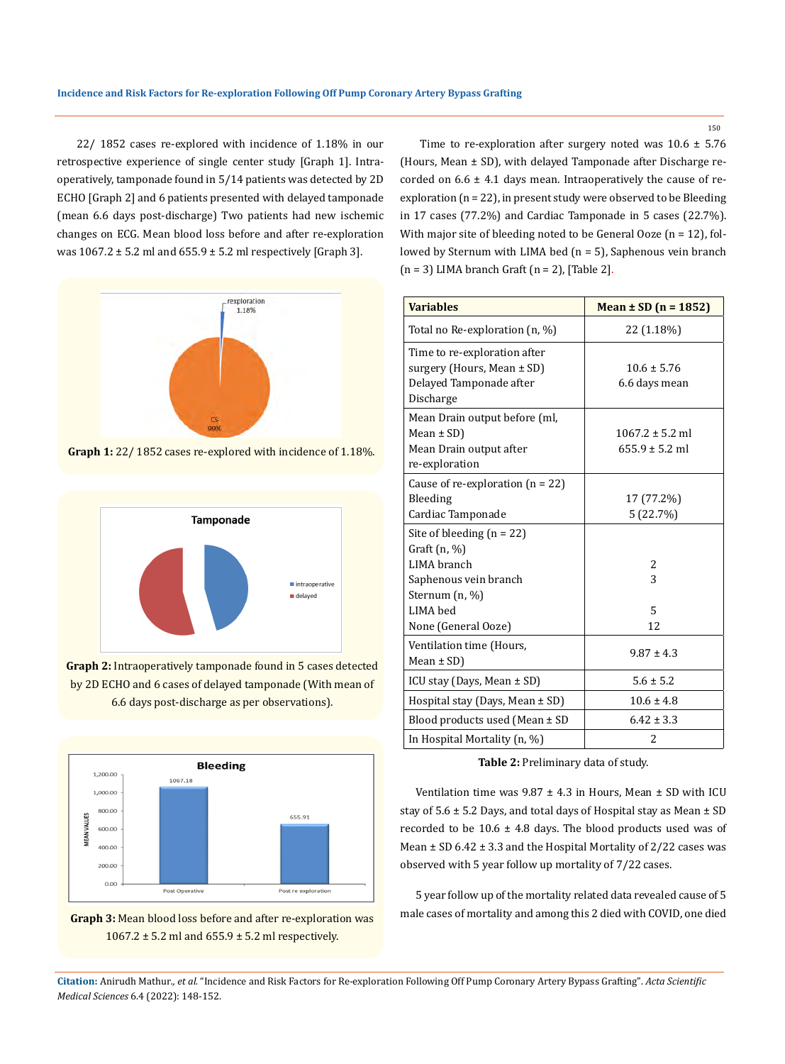22/ 1852 cases re-explored with incidence of 1.18% in our retrospective experience of single center study [Graph 1]. Intraoperatively, tamponade found in 5/14 patients was detected by 2D ECHO [Graph 2] and 6 patients presented with delayed tamponade (mean 6.6 days post-discharge) Two patients had new ischemic changes on ECG. Mean blood loss before and after re-exploration was  $1067.2 \pm 5.2$  ml and  $655.9 \pm 5.2$  ml respectively [Graph 3].



**Graph 1:** 22/ 1852 cases re-explored with incidence of 1.18%.



**Graph 2:** Intraoperatively tamponade found in 5 cases detected by 2D ECHO and 6 cases of delayed tamponade (With mean of 6.6 days post-discharge as per observations).





Time to re-exploration after surgery noted was  $10.6 \pm 5.76$ (Hours, Mean ± SD), with delayed Tamponade after Discharge recorded on  $6.6 \pm 4.1$  days mean. Intraoperatively the cause of reexploration (n = 22), in present study were observed to be Bleeding in 17 cases (77.2%) and Cardiac Tamponade in 5 cases (22.7%). With major site of bleeding noted to be General Ooze (n = 12), followed by Sternum with LIMA bed (n = 5), Saphenous vein branch  $(n = 3)$  LIMA branch Graft  $(n = 2)$ , [Table 2].

| <b>Variables</b>                                                                                   | Mean $\pm$ SD (n = 1852)                  |
|----------------------------------------------------------------------------------------------------|-------------------------------------------|
| Total no Re-exploration (n, %)                                                                     | 22 (1.18%)                                |
| Time to re-exploration after<br>surgery (Hours, Mean ± SD)<br>Delayed Tamponade after<br>Discharge | $10.6 \pm 5.76$<br>6.6 days mean          |
| Mean Drain output before (ml,<br>Mean $\pm$ SD)<br>Mean Drain output after<br>re-exploration       | $1067.2 \pm 5.2$ ml<br>$655.9 \pm 5.2$ ml |
| Cause of re-exploration $(n = 22)$<br>Bleeding<br>Cardiac Tamponade                                | 17 (77.2%)<br>5(22.7%)                    |
| Site of bleeding $(n = 22)$<br>Graft $(n, %)$<br>LIMA branch                                       | 2                                         |
| Saphenous vein branch<br>Sternum (n, %)<br>LIMA bed                                                | 3<br>5                                    |
| None (General Ooze)                                                                                | 12                                        |
| Ventilation time (Hours,<br>Mean $\pm$ SD)                                                         | $9.87 \pm 4.3$                            |
| ICU stay (Days, Mean ± SD)                                                                         | $5.6 \pm 5.2$                             |
| Hospital stay (Days, Mean $\pm$ SD)                                                                | $10.6 \pm 4.8$                            |
| Blood products used (Mean $\pm$ SD                                                                 | $6.42 \pm 3.3$                            |
| In Hospital Mortality (n, %)                                                                       | 2                                         |

**Table 2:** Preliminary data of study.

Ventilation time was  $9.87 \pm 4.3$  in Hours, Mean  $\pm$  SD with ICU stay of  $5.6 \pm 5.2$  Days, and total days of Hospital stay as Mean  $\pm$  SD recorded to be  $10.6 \pm 4.8$  days. The blood products used was of Mean  $\pm$  SD 6.42  $\pm$  3.3 and the Hospital Mortality of 2/22 cases was observed with 5 year follow up mortality of 7/22 cases.

5 year follow up of the mortality related data revealed cause of 5 male cases of mortality and among this 2 died with COVID, one died

**Citation:** Anirudh Mathur*., et al.* "Incidence and Risk Factors for Re-exploration Following Off Pump Coronary Artery Bypass Grafting". *Acta Scientific Medical Sciences* 6.4 (2022): 148-152.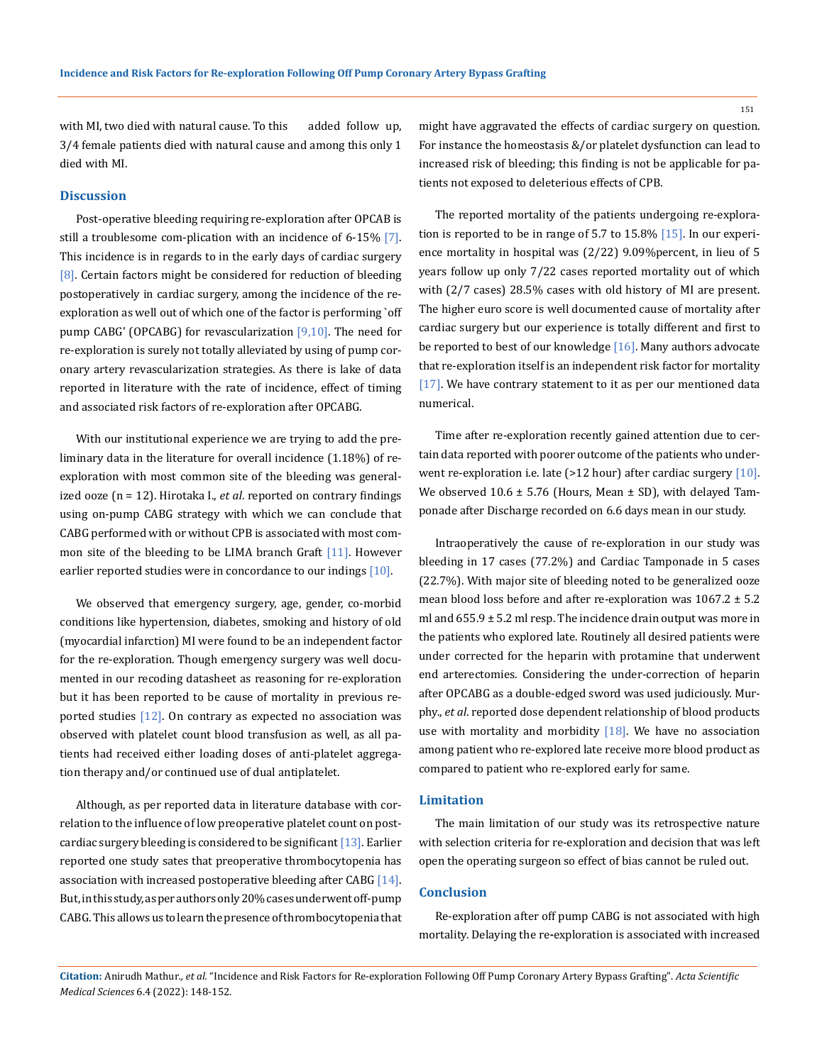with MI, two died with natural cause. To this added follow up, 3/4 female patients died with natural cause and among this only 1 died with MI.

#### **Discussion**

Post-operative bleeding requiring re-exploration after OPCAB is still a troublesome com-plication with an incidence of 6-15% [7]. This incidence is in regards to in the early days of cardiac surgery [8]. Certain factors might be considered for reduction of bleeding postoperatively in cardiac surgery, among the incidence of the reexploration as well out of which one of the factor is performing `off pump CABG' (OPCABG) for revascularization  $[9,10]$ . The need for re-exploration is surely not totally alleviated by using of pump coronary artery revascularization strategies. As there is lake of data reported in literature with the rate of incidence, effect of timing and associated risk factors of re-exploration after OPCABG.

With our institutional experience we are trying to add the preliminary data in the literature for overall incidence (1.18%) of reexploration with most common site of the bleeding was generalized ooze (n = 12). Hirotaka I., *et al*. reported on contrary findings using on-pump CABG strategy with which we can conclude that CABG performed with or without CPB is associated with most common site of the bleeding to be LIMA branch Graft [11]. However earlier reported studies were in concordance to our indings  $[10]$ .

We observed that emergency surgery, age, gender, co-morbid conditions like hypertension, diabetes, smoking and history of old (myocardial infarction) MI were found to be an independent factor for the re-exploration. Though emergency surgery was well documented in our recoding datasheet as reasoning for re-exploration but it has been reported to be cause of mortality in previous reported studies  $[12]$ . On contrary as expected no association was observed with platelet count blood transfusion as well, as all patients had received either loading doses of anti-platelet aggregation therapy and/or continued use of dual antiplatelet.

Although, as per reported data in literature database with correlation to the influence of low preoperative platelet count on postcardiac surgery bleeding is considered to be significant  $[13]$ . Earlier reported one study sates that preoperative thrombocytopenia has association with increased postoperative bleeding after CABG  $[14]$ . But, in this study, as per authors only 20% cases underwent off-pump CABG. This allows us to learn the presence of thrombocytopenia that might have aggravated the effects of cardiac surgery on question. For instance the homeostasis &/or platelet dysfunction can lead to increased risk of bleeding; this finding is not be applicable for patients not exposed to deleterious effects of CPB.

The reported mortality of the patients undergoing re-exploration is reported to be in range of 5.7 to 15.8% [15]. In our experience mortality in hospital was (2/22) 9.09%percent, in lieu of 5 years follow up only 7/22 cases reported mortality out of which with (2/7 cases) 28.5% cases with old history of MI are present. The higher euro score is well documented cause of mortality after cardiac surgery but our experience is totally different and first to be reported to best of our knowledge [16]. Many authors advocate that re-exploration itself is an independent risk factor for mortality [17]. We have contrary statement to it as per our mentioned data numerical.

Time after re-exploration recently gained attention due to certain data reported with poorer outcome of the patients who underwent re-exploration i.e. late (>12 hour) after cardiac surgery [10]. We observed  $10.6 \pm 5.76$  (Hours, Mean  $\pm$  SD), with delayed Tamponade after Discharge recorded on 6.6 days mean in our study.

Intraoperatively the cause of re-exploration in our study was bleeding in 17 cases (77.2%) and Cardiac Tamponade in 5 cases (22.7%). With major site of bleeding noted to be generalized ooze mean blood loss before and after re-exploration was 1067.2 ± 5.2 ml and  $655.9 \pm 5.2$  ml resp. The incidence drain output was more in the patients who explored late. Routinely all desired patients were under corrected for the heparin with protamine that underwent end arterectomies. Considering the under-correction of heparin after OPCABG as a double-edged sword was used judiciously. Murphy., *et al*. reported dose dependent relationship of blood products use with mortality and morbidity  $[18]$ . We have no association among patient who re-explored late receive more blood product as compared to patient who re-explored early for same.

#### **Limitation**

The main limitation of our study was its retrospective nature with selection criteria for re-exploration and decision that was left open the operating surgeon so effect of bias cannot be ruled out.

#### **Conclusion**

Re-exploration after off pump CABG is not associated with high mortality. Delaying the re**-**exploration is associated with increased

**Citation:** Anirudh Mathur*., et al.* "Incidence and Risk Factors for Re-exploration Following Off Pump Coronary Artery Bypass Grafting". *Acta Scientific Medical Sciences* 6.4 (2022): 148-152.